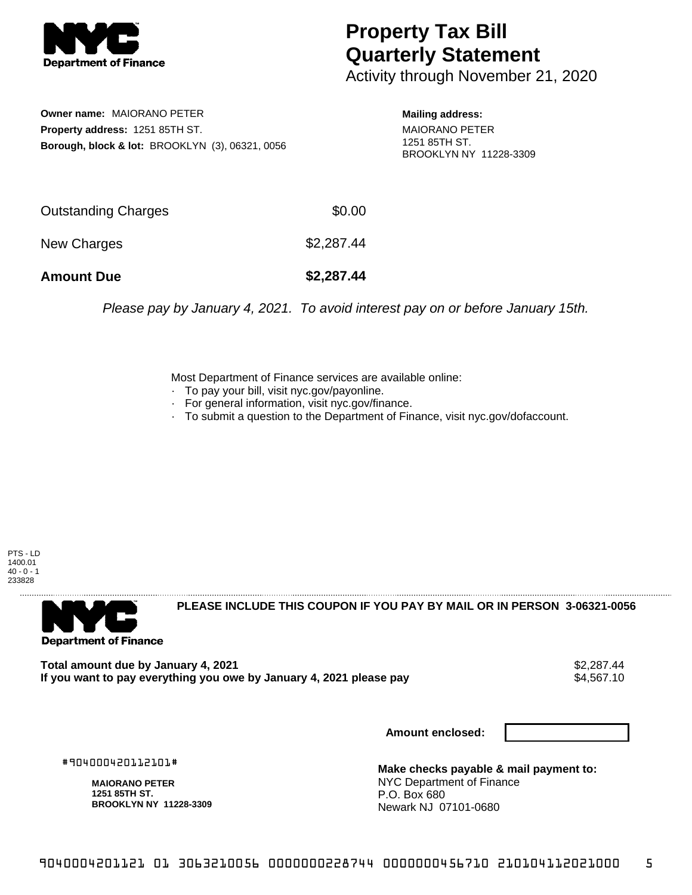

## **Property Tax Bill Quarterly Statement**

Activity through November 21, 2020

**Owner name:** MAIORANO PETER **Property address:** 1251 85TH ST. **Borough, block & lot:** BROOKLYN (3), 06321, 0056

**Mailing address:** MAIORANO PETER 1251 85TH ST. BROOKLYN NY 11228-3309

| <b>Amount Due</b>   | \$2,287.44 |
|---------------------|------------|
| New Charges         | \$2,287.44 |
| Outstanding Charges | \$0.00     |

Please pay by January 4, 2021. To avoid interest pay on or before January 15th.

Most Department of Finance services are available online:

- · To pay your bill, visit nyc.gov/payonline.
- For general information, visit nyc.gov/finance.
- · To submit a question to the Department of Finance, visit nyc.gov/dofaccount.

PTS - LD 1400.01  $40 - 0 - 1$ 233828



**PLEASE INCLUDE THIS COUPON IF YOU PAY BY MAIL OR IN PERSON 3-06321-0056** 

**Total amount due by January 4, 2021**<br>If you want to pay everything you owe by January 4, 2021 please pay **strategy of the Superior August** \$4,567.10 If you want to pay everything you owe by January 4, 2021 please pay

**Amount enclosed:**

#904000420112101#

**MAIORANO PETER 1251 85TH ST. BROOKLYN NY 11228-3309**

**Make checks payable & mail payment to:** NYC Department of Finance P.O. Box 680 Newark NJ 07101-0680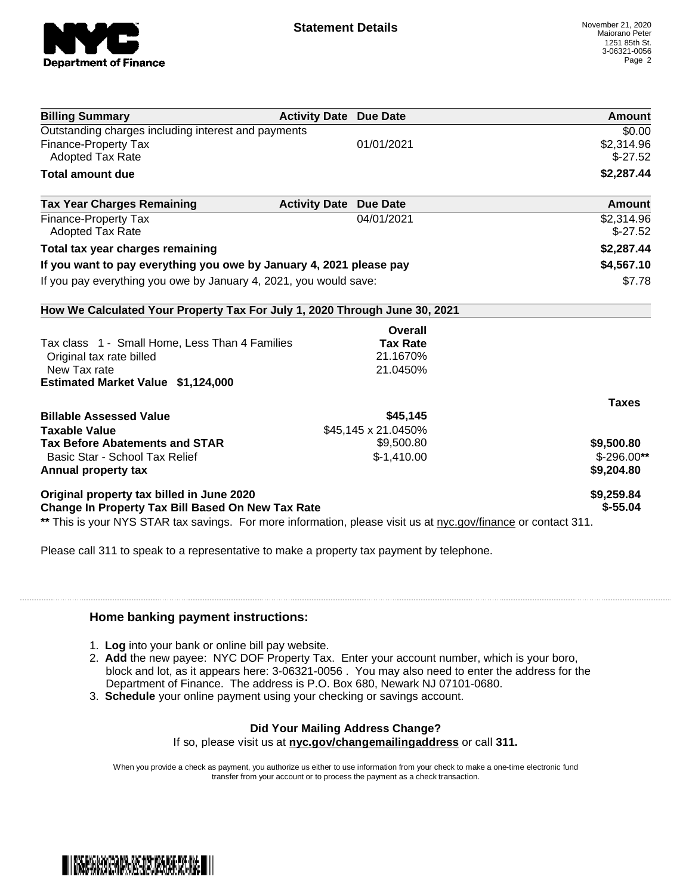

| <b>Billing Summary</b>                                                                                         | <b>Activity Date Due Date</b> | Amount       |
|----------------------------------------------------------------------------------------------------------------|-------------------------------|--------------|
| Outstanding charges including interest and payments                                                            |                               | \$0.00       |
| Finance-Property Tax                                                                                           | 01/01/2021                    | \$2,314.96   |
| <b>Adopted Tax Rate</b>                                                                                        |                               | $$-27.52$    |
| <b>Total amount due</b>                                                                                        |                               | \$2,287.44   |
| <b>Tax Year Charges Remaining</b>                                                                              | <b>Activity Date Due Date</b> | Amount       |
| Finance-Property Tax                                                                                           | 04/01/2021                    | \$2,314.96   |
| <b>Adopted Tax Rate</b>                                                                                        |                               | $$-27.52$    |
| Total tax year charges remaining                                                                               |                               | \$2,287.44   |
| If you want to pay everything you owe by January 4, 2021 please pay                                            |                               | \$4,567.10   |
| If you pay everything you owe by January 4, 2021, you would save:                                              |                               | \$7.78       |
| How We Calculated Your Property Tax For July 1, 2020 Through June 30, 2021                                     |                               |              |
|                                                                                                                | Overall                       |              |
| Tax class 1 - Small Home, Less Than 4 Families                                                                 | <b>Tax Rate</b>               |              |
| Original tax rate billed                                                                                       | 21.1670%                      |              |
| New Tax rate                                                                                                   | 21.0450%                      |              |
| <b>Estimated Market Value \$1,124,000</b>                                                                      |                               |              |
|                                                                                                                |                               | <b>Taxes</b> |
| <b>Billable Assessed Value</b>                                                                                 | \$45,145                      |              |
| <b>Taxable Value</b>                                                                                           | \$45,145 x 21.0450%           |              |
| <b>Tax Before Abatements and STAR</b>                                                                          | \$9,500.80                    | \$9,500.80   |
| Basic Star - School Tax Relief                                                                                 | $$-1,410.00$                  | $$-296.00**$ |
| Annual property tax                                                                                            |                               | \$9,204.80   |
| Original property tax billed in June 2020                                                                      |                               | \$9,259.84   |
| <b>Change In Property Tax Bill Based On New Tax Rate</b>                                                       |                               | $$ -55.04$   |
| ** This is your NYS STAR tax savings. For more information, please visit us at nyc.gov/finance or contact 311. |                               |              |

Please call 311 to speak to a representative to make a property tax payment by telephone.

## **Home banking payment instructions:**

- 1. **Log** into your bank or online bill pay website.
- 2. **Add** the new payee: NYC DOF Property Tax. Enter your account number, which is your boro, block and lot, as it appears here: 3-06321-0056 . You may also need to enter the address for the Department of Finance. The address is P.O. Box 680, Newark NJ 07101-0680.
- 3. **Schedule** your online payment using your checking or savings account.

## **Did Your Mailing Address Change?**

If so, please visit us at **nyc.gov/changemailingaddress** or call **311.**

When you provide a check as payment, you authorize us either to use information from your check to make a one-time electronic fund transfer from your account or to process the payment as a check transaction.